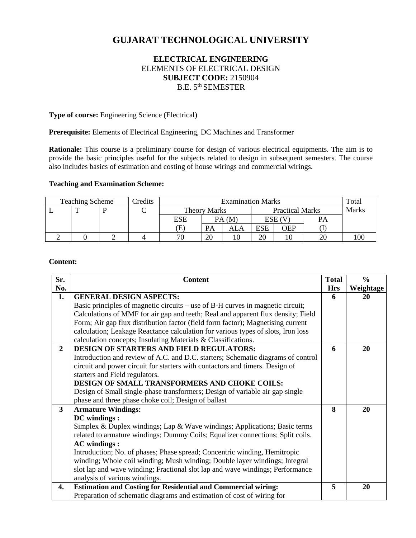# **GUJARAT TECHNOLOGICAL UNIVERSITY**

# **ELECTRICAL ENGINEERING** ELEMENTS OF ELECTRICAL DESIGN **SUBJECT CODE:** 2150904 B.E. 5<sup>th</sup> SEMESTER

**Type of course:** Engineering Science (Electrical)

**Prerequisite:** Elements of Electrical Engineering, DC Machines and Transformer

**Rationale:** This course is a preliminary course for design of various electrical equipments. The aim is to provide the basic principles useful for the subjects related to design in subsequent semesters. The course also includes basics of estimation and costing of house wirings and commercial wirings.

# **Teaching and Examination Scheme:**

| <b>Teaching Scheme</b> |  | Credits | <b>Examination Marks</b> |              |       |                        | Total      |     |              |  |
|------------------------|--|---------|--------------------------|--------------|-------|------------------------|------------|-----|--------------|--|
|                        |  |         |                          | Theory Marks |       | <b>Practical Marks</b> |            |     | <b>Marks</b> |  |
|                        |  |         |                          | ESE          | PA(M) |                        | ESE (V     |     | PА           |  |
|                        |  |         |                          | Œ)           | PA    | ALA                    | <b>ESE</b> | OEP |              |  |
|                        |  |         |                          | 70           | 20    |                        | 20         | ΙU  | 20           |  |

#### **Content:**

| Sr.                     | <b>Content</b>                                                                   | <b>Total</b> | $\frac{6}{6}$ |
|-------------------------|----------------------------------------------------------------------------------|--------------|---------------|
| No.                     |                                                                                  | <b>Hrs</b>   | Weightage     |
| 1.                      | <b>GENERAL DESIGN ASPECTS:</b>                                                   | 6            | 20            |
|                         | Basic principles of magnetic circuits – use of B-H curves in magnetic circuit;   |              |               |
|                         | Calculations of MMF for air gap and teeth; Real and apparent flux density; Field |              |               |
|                         | Form; Air gap flux distribution factor (field form factor); Magnetising current  |              |               |
|                         | calculation; Leakage Reactance calculation for various types of slots, Iron loss |              |               |
|                         | calculation concepts; Insulating Materials & Classifications.                    |              |               |
| $\overline{2}$          | <b>DESIGN OF STARTERS AND FIELD REGULATORS:</b>                                  | 6            | 20            |
|                         | Introduction and review of A.C. and D.C. starters; Schematic diagrams of control |              |               |
|                         | circuit and power circuit for starters with contactors and timers. Design of     |              |               |
|                         | starters and Field regulators.                                                   |              |               |
|                         | DESIGN OF SMALL TRANSFORMERS AND CHOKE COILS:                                    |              |               |
|                         | Design of Small single-phase transformers; Design of variable air gap single     |              |               |
|                         | phase and three phase choke coil; Design of ballast                              |              |               |
| $\overline{\mathbf{3}}$ | <b>Armature Windings:</b>                                                        | 8            | 20            |
|                         | DC windings:                                                                     |              |               |
|                         | Simplex & Duplex windings; Lap & Wave windings; Applications; Basic terms        |              |               |
|                         | related to armature windings; Dummy Coils; Equalizer connections; Split coils.   |              |               |
|                         | <b>AC</b> windings :                                                             |              |               |
|                         | Introduction; No. of phases; Phase spread; Concentric winding, Hemitropic        |              |               |
|                         | winding; Whole coil winding; Mush winding; Double layer windings; Integral       |              |               |
|                         | slot lap and wave winding; Fractional slot lap and wave windings; Performance    |              |               |
|                         | analysis of various windings.                                                    |              |               |
| 4.                      | <b>Estimation and Costing for Residential and Commercial wiring:</b>             | 5            | 20            |
|                         | Preparation of schematic diagrams and estimation of cost of wiring for           |              |               |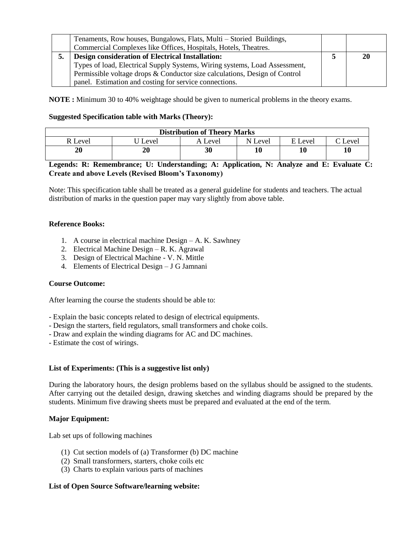| Tenaments, Row houses, Bungalows, Flats, Multi – Storied Buildings,<br>Commercial Complexes like Offices, Hospitals, Hotels, Theatres.                                                                       |    |
|--------------------------------------------------------------------------------------------------------------------------------------------------------------------------------------------------------------|----|
| Design consideration of Electrical Installation:<br>Types of load, Electrical Supply Systems, Wiring systems, Load Assessment,<br>Permissible voltage drops & Conductor size calculations, Design of Control | 20 |
| panel. Estimation and costing for service connections.                                                                                                                                                       |    |

**NOTE :** Minimum 30 to 40% weightage should be given to numerical problems in the theory exams.

## **Suggested Specification table with Marks (Theory):**

| <b>Distribution of Theory Marks</b> |       |         |         |         |                |  |  |
|-------------------------------------|-------|---------|---------|---------|----------------|--|--|
| Level                               | Level | A Level | N Level | E Level | $\Gamma$ Level |  |  |
| 20                                  | 20    | 30      |         |         | 10             |  |  |

# **Legends: R: Remembrance; U: Understanding; A: Application, N: Analyze and E: Evaluate C: Create and above Levels (Revised Bloom's Taxonomy)**

Note: This specification table shall be treated as a general guideline for students and teachers. The actual distribution of marks in the question paper may vary slightly from above table.

#### **Reference Books:**

- 1. A course in electrical machine Design A. K. Sawhney
- 2. Electrical Machine Design R. K. Agrawal
- 3. Design of Electrical Machine V. N. Mittle
- 4. Elements of Electrical Design J G Jamnani

# **Course Outcome:**

After learning the course the students should be able to:

- Explain the basic concepts related to design of electrical equipments.
- Design the starters, field regulators, small transformers and choke coils.
- Draw and explain the winding diagrams for AC and DC machines.
- Estimate the cost of wirings.

#### **List of Experiments: (This is a suggestive list only)**

During the laboratory hours, the design problems based on the syllabus should be assigned to the students. After carrying out the detailed design, drawing sketches and winding diagrams should be prepared by the students. Minimum five drawing sheets must be prepared and evaluated at the end of the term.

# **Major Equipment:**

Lab set ups of following machines

- (1) Cut section models of (a) Transformer (b) DC machine
- (2) Small transformers, starters, choke coils etc
- (3) Charts to explain various parts of machines

## **List of Open Source Software/learning website:**